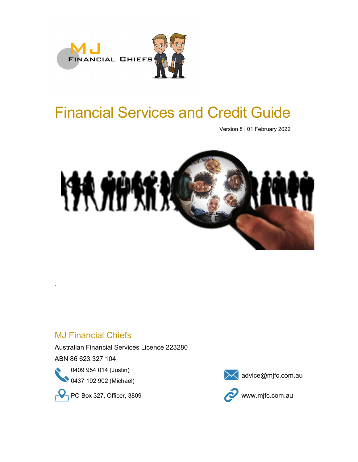

# Financial Services and Credit Guide

Version 8 | 01 February 2022



# .<br>MJ Financial Chiefs<br>MJ Financial Chiefs

Australian Financial Services Licence 223280

ABN 86 623 327 104





 $\bigcirc$  PO Box 327, Officer, 3809 www.mjfc.com.au



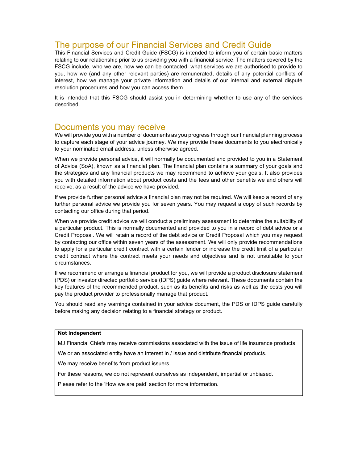# The purpose of our Financial Services and Credit Guide

This Financial Services and Credit Guide (FSCG) is intended to inform you of certain basic matters relating to our relationship prior to us providing you with a financial service. The matters covered by the FSCG include, who we are, how we can be contacted, what services we are authorised to provide to you, how we (and any other relevant parties) are remunerated, details of any potential conflicts of interest, how we manage your private information and details of our internal and external dispute resolution procedures and how you can access them.

It is intended that this FSCG should assist you in determining whether to use any of the services described.

### Documents you may receive

We will provide you with a number of documents as you progress through our financial planning process to capture each stage of your advice journey. We may provide these documents to you electronically to your nominated email address, unless otherwise agreed.

When we provide personal advice, it will normally be documented and provided to you in a Statement of Advice (SoA), known as a financial plan. The financial plan contains a summary of your goals and the strategies and any financial products we may recommend to achieve your goals. It also provides you with detailed information about product costs and the fees and other benefits we and others will receive, as a result of the advice we have provided.

If we provide further personal advice a financial plan may not be required. We will keep a record of any further personal advice we provide you for seven years. You may request a copy of such records by contacting our office during that period.

When we provide credit advice we will conduct a preliminary assessment to determine the suitability of a particular product. This is normally documented and provided to you in a record of debt advice or a Credit Proposal. We will retain a record of the debt advice or Credit Proposal which you may request by contacting our office within seven years of the assessment. We will only provide recommendations to apply for a particular credit contract with a certain lender or increase the credit limit of a particular credit contract where the contract meets your needs and objectives and is not unsuitable to your circumstances.

If we recommend or arrange a financial product for you, we will provide a product disclosure statement (PDS) or investor directed portfolio service (IDPS) guide where relevant. These documents contain the key features of the recommended product, such as its benefits and risks as well as the costs you will pay the product provider to professionally manage that product.

You should read any warnings contained in your advice document, the PDS or IDPS guide carefully before making any decision relating to a financial strategy or product.

### Not Independent

MJ Financial Chiefs may receive commissions associated with the issue of life insurance products.

We or an associated entity have an interest in / issue and distribute financial products.

We may receive benefits from product issuers.

For these reasons, we do not represent ourselves as independent, impartial or unbiased.

Please refer to the 'How we are paid' section for more information.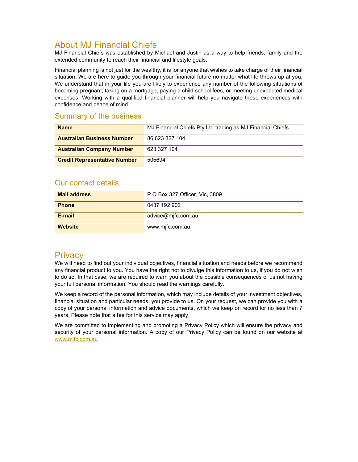# About MJ Financial Chiefs

MJ Financial Chiefs was established by Michael and Justin as a way to help friends, family and the extended community to reach their financial and lifestyle goals.

Financial planning is not just for the wealthy, it is for anyone that wishes to take charge of their financial situation. We are here to guide you through your financial future no matter what life throws up at you. We understand that in your life you are likely to experience any number of the following situations of becoming pregnant, taking on a mortgage, paying a child school fees, or meeting unexpected medical expenses. Working with a qualified financial planner will help you navigate these experiences with confidence and peace of mind.

### Summary of the business

| <b>Name</b>                         | MJ Financial Chiefs Pty Ltd trading as MJ Financial Chiefs |
|-------------------------------------|------------------------------------------------------------|
| <b>Australian Business Number</b>   | 86 623 327 104                                             |
| <b>Australian Company Number</b>    | 623 327 104                                                |
| <b>Credit Representative Number</b> | 505694                                                     |

### Our contact details

| <b>Mail address</b> | P.O Box 327 Officer, Vic, 3809 |
|---------------------|--------------------------------|
| <b>Phone</b>        | 0437 192 902                   |
| E-mail              | advice@mjfc.com.au             |
| <b>Website</b>      | www.mjfc.com.au                |

# **Privacy**

We will need to find out your individual objectives, financial situation and needs before we recommend any financial product to you. You have the right not to divulge this information to us, if you do not wish to do so. In that case, we are required to warn you about the possible consequences of us not having your full personal information. You should read the warnings carefully.

We keep a record of the personal information, which may include details of your investment objectives, financial situation and particular needs, you provide to us. On your request, we can provide you with a copy of your personal information and advice documents, which we keep on record for no less than 7 years. Please note that a fee for this service may apply.

We are committed to implementing and promoting a Privacy Policy which will ensure the privacy and security of your personal information. A copy of our Privacy Policy can be found on our website at www.mjfc.com.au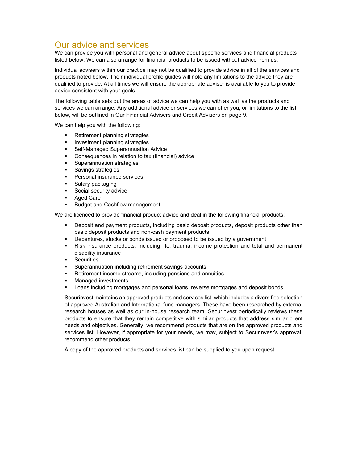# Our advice and services

We can provide you with personal and general advice about specific services and financial products listed below. We can also arrange for financial products to be issued without advice from us.

Individual advisers within our practice may not be qualified to provide advice in all of the services and products noted below. Their individual profile guides will note any limitations to the advice they are qualified to provide. At all times we will ensure the appropriate adviser is available to you to provide advice consistent with your goals.

The following table sets out the areas of advice we can help you with as well as the products and services we can arrange. Any additional advice or services we can offer you, or limitations to the list below, will be outlined in Our Financial Advisers and Credit Advisers on page 9.

We can help you with the following:

- Retirement planning strategies
- Investment planning strategies
- **Self-Managed Superannuation Advice**
- Consequences in relation to tax (financial) advice
- Superannuation strategies
- Savings strategies
- Personal insurance services
- Salary packaging
- Social security advice
- Aged Care
- Budget and Cashflow management

We are licenced to provide financial product advice and deal in the following financial products:

- Deposit and payment products, including basic deposit products, deposit products other than basic deposit products and non-cash payment products
- Debentures, stocks or bonds issued or proposed to be issued by a government
- Risk insurance products, including life, trauma, income protection and total and permanent disability insurance
- **Securities**
- Superannuation including retirement savings accounts
- Retirement income streams, including pensions and annuities
- Managed investments
- Loans including mortgages and personal loans, reverse mortgages and deposit bonds

Securinvest maintains an approved products and services list, which includes a diversified selection of approved Australian and International fund managers. These have been researched by external research houses as well as our in-house research team. Securinvest periodically reviews these products to ensure that they remain competitive with similar products that address similar client needs and objectives. Generally, we recommend products that are on the approved products and services list. However, if appropriate for your needs, we may, subject to Securinvest's approval, recommend other products.

A copy of the approved products and services list can be supplied to you upon request.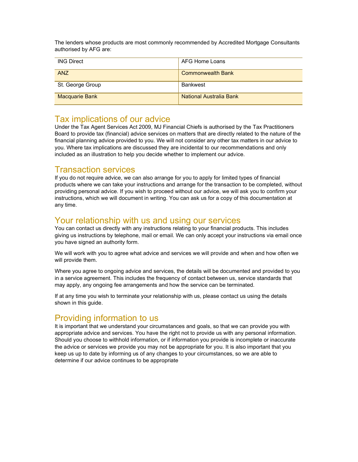The lenders whose products are most commonly recommended by Accredited Mortgage Consultants authorised by AFG are:

| <b>ING Direct</b>     | AFG Home Loans                 |
|-----------------------|--------------------------------|
| <b>ANZ</b>            | <b>Commonwealth Bank</b>       |
| St. George Group      | Bankwest                       |
| <b>Macquarie Bank</b> | <b>National Australia Bank</b> |

### Tax implications of our advice

Under the Tax Agent Services Act 2009, MJ Financial Chiefs is authorised by the Tax Practitioners Board to provide tax (financial) advice services on matters that are directly related to the nature of the financial planning advice provided to you. We will not consider any other tax matters in our advice to you. Where tax implications are discussed they are incidental to our recommendations and only included as an illustration to help you decide whether to implement our advice.

# Transaction services

If you do not require advice, we can also arrange for you to apply for limited types of financial products where we can take your instructions and arrange for the transaction to be completed, without providing personal advice. If you wish to proceed without our advice, we will ask you to confirm your instructions, which we will document in writing. You can ask us for a copy of this documentation at any time.

# Your relationship with us and using our services

You can contact us directly with any instructions relating to your financial products. This includes giving us instructions by telephone, mail or email. We can only accept your instructions via email once you have signed an authority form.

We will work with you to agree what advice and services we will provide and when and how often we will provide them.

Where you agree to ongoing advice and services, the details will be documented and provided to you in a service agreement. This includes the frequency of contact between us, service standards that may apply, any ongoing fee arrangements and how the service can be terminated.

If at any time you wish to terminate your relationship with us, please contact us using the details shown in this guide.

# Providing information to us

It is important that we understand your circumstances and goals, so that we can provide you with appropriate advice and services. You have the right not to provide us with any personal information. Should you choose to withhold information, or if information you provide is incomplete or inaccurate the advice or services we provide you may not be appropriate for you. It is also important that you keep us up to date by informing us of any changes to your circumstances, so we are able to determine if our advice continues to be appropriate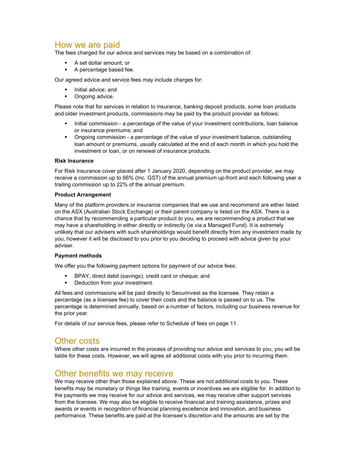# How we are paid

The fees charged for our advice and services may be based on a combination of:

- A set dollar amount; or
- A percentage based fee.

Our agreed advice and service fees may include charges for:

- Initial advice; and
- Ongoing advice.

Please note that for services in relation to insurance, banking deposit products, some loan products and older investment products, commissions may be paid by the product provider as follows:

- Initial commission a percentage of the value of your investment contributions, loan balance or insurance premiums; and
- Ongoing commission a percentage of the value of your investment balance, outstanding loan amount or premiums, usually calculated at the end of each month in which you hold the investment or loan, or on renewal of insurance products.

### Risk Insurance

For Risk Insurance cover placed after 1 January 2020, depending on the product provider, we may receive a commission up to 66% (Inc. GST) of the annual premium up-front and each following year a trailing commission up to 22% of the annual premium.

### Product Arrangement

Many of the platform providers or insurance companies that we use and recommend are either listed on the ASX (Australian Stock Exchange) or their parent company is listed on the ASX. There is a chance that by recommending a particular product to you, we are recommending a product that we may have a shareholding in either directly or indirectly (ie via a Managed Fund). It is extremely unlikely that our advisers with such shareholdings would benefit directly from any investment made by you, however it will be disclosed to you prior to you deciding to proceed with advice given by your adviser.

### Payment methods

We offer you the following payment options for payment of our advice fees:

- BPAY, direct debit (savings), credit card or cheque; and
- Deduction from your investment.

All fees and commissions will be paid directly to Securinvest as the licensee. They retain a percentage (as a licensee fee) to cover their costs and the balance is passed on to us. The percentage is determined annually, based on a number of factors, including our business revenue for the prior year.

For details of our service fees, please refer to Schedule of fees on page 11.

# Other costs

Where other costs are incurred in the process of providing our advice and services to you, you will be liable for these costs. However, we will agree all additional costs with you prior to incurring them.

# Other benefits we may receive

We may receive other than those explained above. These are not additional costs to you. These benefits may be monetary or things like training, events or incentives we are eligible for. In addition to the payments we may receive for our advice and services, we may receive other support services from the licensee. We may also be eligible to receive financial and training assistance, prizes and awards or events in recognition of financial planning excellence and innovation, and business performance. These benefits are paid at the licensee's discretion and the amounts are set by the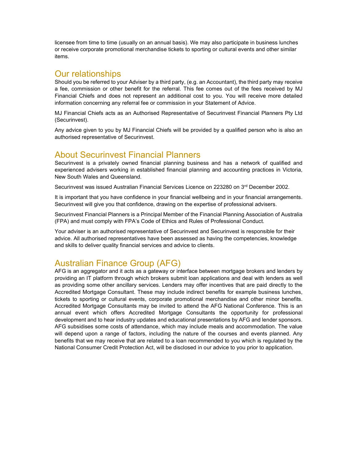licensee from time to time (usually on an annual basis). We may also participate in business lunches or receive corporate promotional merchandise tickets to sporting or cultural events and other similar items.

# Our relationships

Should you be referred to your Adviser by a third party, (e.g. an Accountant), the third party may receive a fee, commission or other benefit for the referral. This fee comes out of the fees received by MJ Financial Chiefs and does not represent an additional cost to you. You will receive more detailed information concerning any referral fee or commission in your Statement of Advice.

MJ Financial Chiefs acts as an Authorised Representative of Securinvest Financial Planners Pty Ltd (Securinvest).

Any advice given to you by MJ Financial Chiefs will be provided by a qualified person who is also an authorised representative of Securinvest.

# About Securinvest Financial Planners

Securinvest is a privately owned financial planning business and has a network of qualified and experienced advisers working in established financial planning and accounting practices in Victoria, New South Wales and Queensland.

Securinvest was issued Australian Financial Services Licence on 223280 on 3<sup>rd</sup> December 2002.

It is important that you have confidence in your financial wellbeing and in your financial arrangements. Securinvest will give you that confidence, drawing on the expertise of professional advisers.

Securinvest Financial Planners is a Principal Member of the Financial Planning Association of Australia (FPA) and must comply with FPA's Code of Ethics and Rules of Professional Conduct.

Your adviser is an authorised representative of Securinvest and Securinvest is responsible for their advice. All authorised representatives have been assessed as having the competencies, knowledge and skills to deliver quality financial services and advice to clients.

# Australian Finance Group (AFG)

AFG is an aggregator and it acts as a gateway or interface between mortgage brokers and lenders by providing an IT platform through which brokers submit loan applications and deal with lenders as well as providing some other ancillary services. Lenders may offer incentives that are paid directly to the Accredited Mortgage Consultant. These may include indirect benefits for example business lunches, tickets to sporting or cultural events, corporate promotional merchandise and other minor benefits. Accredited Mortgage Consultants may be invited to attend the AFG National Conference. This is an annual event which offers Accredited Mortgage Consultants the opportunity for professional development and to hear industry updates and educational presentations by AFG and lender sponsors. AFG subsidises some costs of attendance, which may include meals and accommodation. The value will depend upon a range of factors, including the nature of the courses and events planned. Any benefits that we may receive that are related to a loan recommended to you which is regulated by the National Consumer Credit Protection Act, will be disclosed in our advice to you prior to application.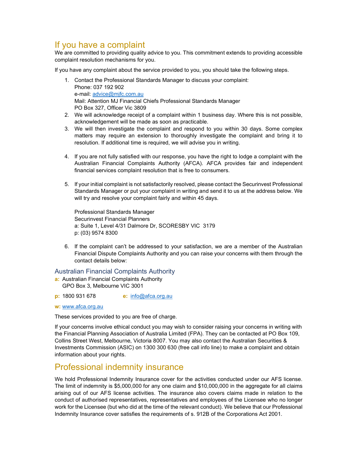# If you have a complaint

We are committed to providing quality advice to you. This commitment extends to providing accessible complaint resolution mechanisms for you.

If you have any complaint about the service provided to you, you should take the following steps.

- 1. Contact the Professional Standards Manager to discuss your complaint: Phone: 037 192 902 e-mail: advice@mjfc.com.au Mail: Attention MJ Financial Chiefs Professional Standards Manager PO Box 327, Officer Vic 3809
- 2. We will acknowledge receipt of a complaint within 1 business day. Where this is not possible, acknowledgement will be made as soon as practicable.
- 3. We will then investigate the complaint and respond to you within 30 days. Some complex matters may require an extension to thoroughly investigate the complaint and bring it to resolution. If additional time is required, we will advise you in writing.
- 4. If you are not fully satisfied with our response, you have the right to lodge a complaint with the Australian Financial Complaints Authority (AFCA). AFCA provides fair and independent financial services complaint resolution that is free to consumers.
- 5. If your initial complaint is not satisfactorily resolved, please contact the Securinvest Professional Standards Manager or put your complaint in writing and send it to us at the address below. We will try and resolve your complaint fairly and within 45 days.

Professional Standards Manager Securinvest Financial Planners a: Suite 1, Level 4/31 Dalmore Dr, SCORESBY VIC 3179 p: (03) 9574 8300

6. If the complaint can't be addressed to your satisfaction, we are a member of the Australian Financial Dispute Complaints Authority and you can raise your concerns with them through the contact details below:

### Australian Financial Complaints Authority

a: Australian Financial Complaints Authority GPO Box 3, Melbourne VIC 3001

**p:** 1800 931 678 **e:** info@afca.org.au

w: www.afca.org.au

These services provided to you are free of charge.

If your concerns involve ethical conduct you may wish to consider raising your concerns in writing with the Financial Planning Association of Australia Limited (FPA). They can be contacted at PO Box 109, Collins Street West, Melbourne, Victoria 8007. You may also contact the Australian Securities & Investments Commission (ASIC) on 1300 300 630 (free call info line) to make a complaint and obtain information about your rights.

# Professional indemnity insurance

We hold Professional Indemnity Insurance cover for the activities conducted under our AFS license. The limit of indemnity is \$5,000,000 for any one claim and \$10,000,000 in the aggregate for all claims arising out of our AFS license activities. The insurance also covers claims made in relation to the conduct of authorised representatives, representatives and employees of the Licensee who no longer work for the Licensee (but who did at the time of the relevant conduct). We believe that our Professional Indemnity Insurance cover satisfies the requirements of s. 912B of the Corporations Act 2001.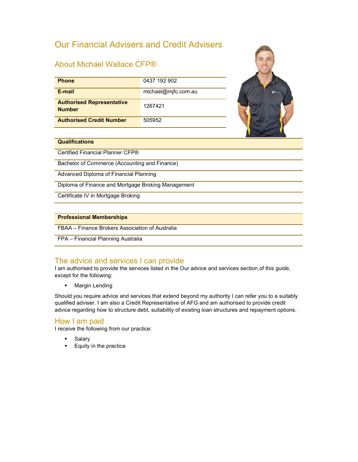# Our Financial Advisers and Credit Advisers

### About Michael Wallace CFP®

| <b>Phone</b>                                      | 0437 192 902        |  |
|---------------------------------------------------|---------------------|--|
| E-mail                                            | michael@mjfc.com.au |  |
| <b>Authorised Representative</b><br><b>Number</b> | 1267421             |  |
| <b>Authorised Credit Number</b>                   | 505952              |  |



### **Qualifications**

Certified Financial Planner CFP®

Bachelor of Commerce (Accounting and Finance)

Advanced Diploma of Financial Planning

Diploma of Finance and Mortgage Broking Management

Certificate IV in Mortgage Broking

### Professional Memberships

FBAA – Finance Brokers Association of Australia

FPA – Financial Planning Australia

### The advice and services I can provide

I am authorised to provide the services listed in the Our advice and services section of this guide, except for the following:

**Margin Lending** 

Should you require advice and services that extend beyond my authority I can refer you to a suitably qualified adviser. I am also a Credit Representative of AFG and am authorised to provide credit advice regarding how to structure debt, suitability of existing loan structures and repayment options.

### How I am paid

I receive the following from our practice:

- Salary
- **Equity in the practice**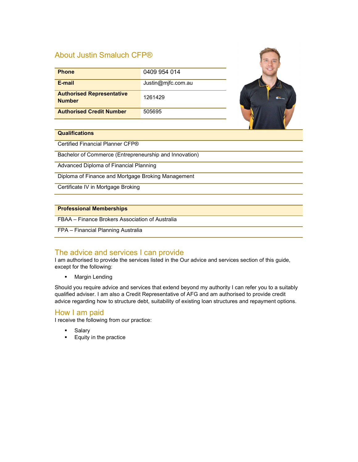# About Justin Smaluch CFP®

| <b>Phone</b>                                      | 0409 954 014       |  |
|---------------------------------------------------|--------------------|--|
| E-mail                                            | Justin@mjfc.com.au |  |
| <b>Authorised Representative</b><br><b>Number</b> | 1261429            |  |
| <b>Authorised Credit Number</b>                   | 505695             |  |
|                                                   |                    |  |

**Marine Street** 

### **Qualifications**

Certified Financial Planner CFP®

Bachelor of Commerce (Entrepreneurship and Innovation)

Advanced Diploma of Financial Planning

Diploma of Finance and Mortgage Broking Management

Certificate IV in Mortgage Broking

### Professional Memberships

FBAA – Finance Brokers Association of Australia

### FPA – Financial Planning Australia

### The advice and services I can provide

I am authorised to provide the services listed in the Our advice and services section of this guide, except for the following:

**Margin Lending** 

Should you require advice and services that extend beyond my authority I can refer you to a suitably qualified adviser. I am also a Credit Representative of AFG and am authorised to provide credit advice regarding how to structure debt, suitability of existing loan structures and repayment options.

### How I am paid

I receive the following from our practice:

- Salary
- **Equity in the practice**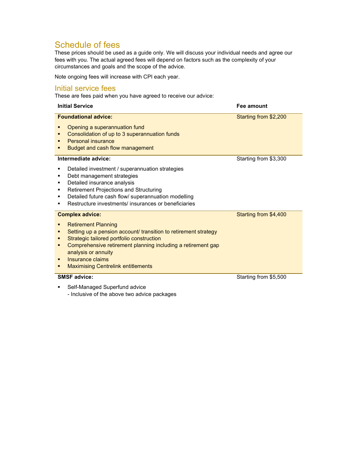# Schedule of fees

These prices should be used as a guide only. We will discuss your individual needs and agree our fees with you. The actual agreed fees will depend on factors such as the complexity of your circumstances and goals and the scope of the advice.

Note ongoing fees will increase with CPI each year.

### Initial service fees

These are fees paid when you have agreed to receive our advice:

| <b>Initial Service</b>                                                                                                                                                                                                                                                                                                       | Fee amount            |
|------------------------------------------------------------------------------------------------------------------------------------------------------------------------------------------------------------------------------------------------------------------------------------------------------------------------------|-----------------------|
| <b>Foundational advice:</b><br>Opening a superannuation fund<br>Consolidation of up to 3 superannuation funds<br>п<br><b>Personal insurance</b><br>Budget and cash flow management                                                                                                                                           | Starting from \$2,200 |
| Intermediate advice:<br>Detailed investment / superannuation strategies<br>Debt management strategies<br>Detailed insurance analysis<br>٠<br><b>Retirement Projections and Structuring</b><br>٠<br>Detailed future cash flow/ superannuation modelling<br>Restructure investments/ insurances or beneficiaries               | Starting from \$3,300 |
| <b>Complex advice:</b><br><b>Retirement Planning</b><br>Setting up a pension account/ transition to retirement strategy<br>Strategic tailored portfolio construction<br>Comprehensive retirement planning including a retirement gap<br>analysis or annuity<br>Insurance claims<br><b>Maximising Centrelink entitlements</b> | Starting from \$4,400 |
| <b>SMSF advice:</b><br>Self-Managed Superfund advice                                                                                                                                                                                                                                                                         | Starting from \$5,500 |

- Inclusive of the above two advice packages